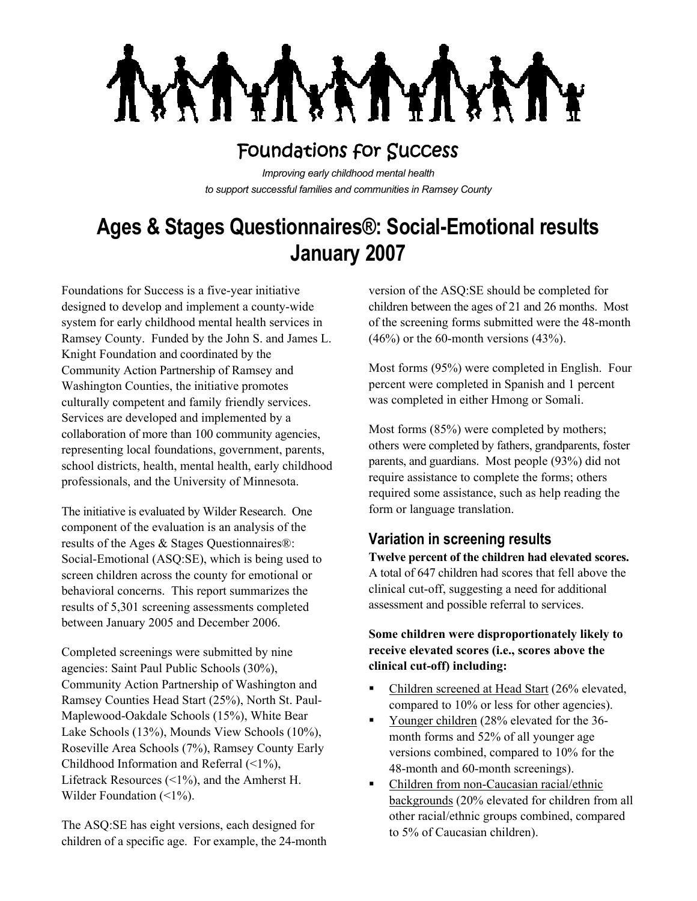

## Foundations for Success

*Improving early childhood mental health to support successful families and communities in Ramsey County*

# **Ages & Stages Questionnaires®: Social-Emotional results January 2007**

Foundations for Success is a five-year initiative designed to develop and implement a county-wide system for early childhood mental health services in Ramsey County. Funded by the John S. and James L. Knight Foundation and coordinated by the Community Action Partnership of Ramsey and Washington Counties, the initiative promotes culturally competent and family friendly services. Services are developed and implemented by a collaboration of more than 100 community agencies, representing local foundations, government, parents, school districts, health, mental health, early childhood professionals, and the University of Minnesota.

The initiative is evaluated by Wilder Research. One component of the evaluation is an analysis of the results of the Ages & Stages Questionnaires®: Social-Emotional (ASQ:SE), which is being used to screen children across the county for emotional or behavioral concerns. This report summarizes the results of 5,301 screening assessments completed between January 2005 and December 2006.

Completed screenings were submitted by nine agencies: Saint Paul Public Schools (30%), Community Action Partnership of Washington and Ramsey Counties Head Start (25%), North St. Paul-Maplewood-Oakdale Schools (15%), White Bear Lake Schools (13%), Mounds View Schools (10%), Roseville Area Schools (7%), Ramsey County Early Childhood Information and Referral (<1%), Lifetrack Resources (<1%), and the Amherst H. Wilder Foundation (<1%).

The ASQ:SE has eight versions, each designed for children of a specific age. For example, the 24-month

version of the ASQ:SE should be completed for children between the ages of 21 and 26 months. Most of the screening forms submitted were the 48-month  $(46%)$  or the 60-month versions  $(43%).$ 

Most forms (95%) were completed in English. Four percent were completed in Spanish and 1 percent was completed in either Hmong or Somali.

Most forms (85%) were completed by mothers; others were completed by fathers, grandparents, foster parents, and guardians. Most people (93%) did not require assistance to complete the forms; others required some assistance, such as help reading the form or language translation.

## **Variation in screening results**

**Twelve percent of the children had elevated scores.** A total of 647 children had scores that fell above the clinical cut-off, suggesting a need for additional assessment and possible referral to services.

#### **Some children were disproportionately likely to receive elevated scores (i.e., scores above the clinical cut-off) including:**

- Children screened at Head Start (26% elevated, compared to 10% or less for other agencies).
- Younger children (28% elevated for the 36 month forms and 52% of all younger age versions combined, compared to 10% for the 48-month and 60-month screenings).
- Children from non-Caucasian racial/ethnic backgrounds (20% elevated for children from all other racial/ethnic groups combined, compared to 5% of Caucasian children).